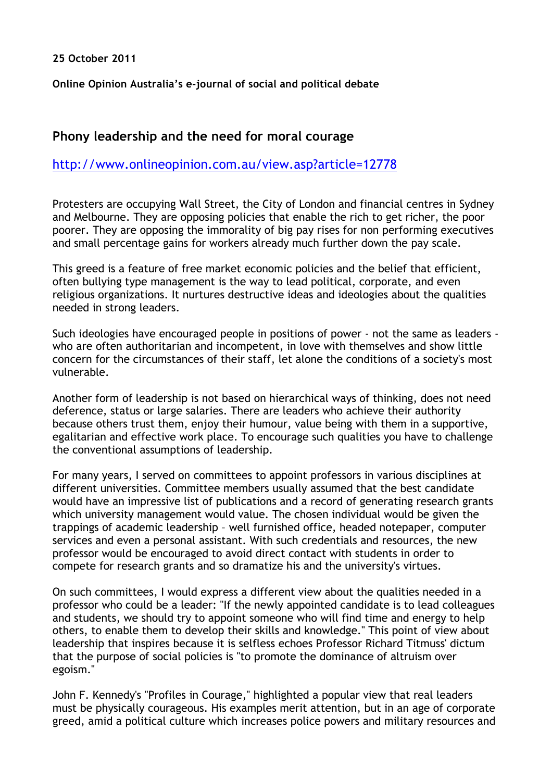## **25 October 2011**

**Online Opinion Australia's e-journal of social and political debate**

## **Phony leadership and the need for moral courage**

## http://www.onlineopinion.com.au/view.asp?article=12778

Protesters are occupying Wall Street, the City of London and financial centres in Sydney and Melbourne. They are opposing policies that enable the rich to get richer, the poor poorer. They are opposing the immorality of big pay rises for non performing executives and small percentage gains for workers already much further down the pay scale.

This greed is a feature of free market economic policies and the belief that efficient, often bullying type management is the way to lead political, corporate, and even religious organizations. It nurtures destructive ideas and ideologies about the qualities needed in strong leaders.

Such ideologies have encouraged people in positions of power - not the same as leaders who are often authoritarian and incompetent, in love with themselves and show little concern for the circumstances of their staff, let alone the conditions of a society's most vulnerable.

Another form of leadership is not based on hierarchical ways of thinking, does not need deference, status or large salaries. There are leaders who achieve their authority because others trust them, enjoy their humour, value being with them in a supportive, egalitarian and effective work place. To encourage such qualities you have to challenge the conventional assumptions of leadership.

For many years, I served on committees to appoint professors in various disciplines at different universities. Committee members usually assumed that the best candidate would have an impressive list of publications and a record of generating research grants which university management would value. The chosen individual would be given the trappings of academic leadership – well furnished office, headed notepaper, computer services and even a personal assistant. With such credentials and resources, the new professor would be encouraged to avoid direct contact with students in order to compete for research grants and so dramatize his and the university's virtues.

On such committees, I would express a different view about the qualities needed in a professor who could be a leader: "If the newly appointed candidate is to lead colleagues and students, we should try to appoint someone who will find time and energy to help others, to enable them to develop their skills and knowledge." This point of view about leadership that inspires because it is selfless echoes Professor Richard Titmuss' dictum that the purpose of social policies is "to promote the dominance of altruism over egoism."

John F. Kennedy's "Profiles in Courage," highlighted a popular view that real leaders must be physically courageous. His examples merit attention, but in an age of corporate greed, amid a political culture which increases police powers and military resources and